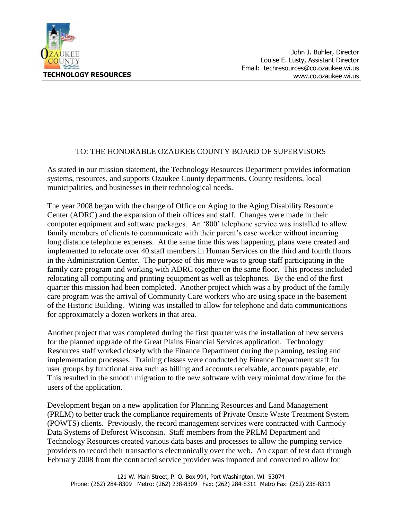

## TO: THE HONORABLE OZAUKEE COUNTY BOARD OF SUPERVISORS

As stated in our mission statement, the Technology Resources Department provides information systems, resources, and supports Ozaukee County departments, County residents, local municipalities, and businesses in their technological needs.

The year 2008 began with the change of Office on Aging to the Aging Disability Resource Center (ADRC) and the expansion of their offices and staff. Changes were made in their computer equipment and software packages. An '800' telephone service was installed to allow family members of clients to communicate with their parent's case worker without incurring long distance telephone expenses. At the same time this was happening, plans were created and implemented to relocate over 40 staff members in Human Services on the third and fourth floors in the Administration Center. The purpose of this move was to group staff participating in the family care program and working with ADRC together on the same floor. This process included relocating all computing and printing equipment as well as telephones. By the end of the first quarter this mission had been completed. Another project which was a by product of the family care program was the arrival of Community Care workers who are using space in the basement of the Historic Building. Wiring was installed to allow for telephone and data communications for approximately a dozen workers in that area.

Another project that was completed during the first quarter was the installation of new servers for the planned upgrade of the Great Plains Financial Services application. Technology Resources staff worked closely with the Finance Department during the planning, testing and implementation processes. Training classes were conducted by Finance Department staff for user groups by functional area such as billing and accounts receivable, accounts payable, etc. This resulted in the smooth migration to the new software with very minimal downtime for the users of the application.

Development began on a new application for Planning Resources and Land Management (PRLM) to better track the compliance requirements of Private Onsite Waste Treatment System (POWTS) clients. Previously, the record management services were contracted with Carmody Data Systems of Deforest Wisconsin. Staff members from the PRLM Department and Technology Resources created various data bases and processes to allow the pumping service providers to record their transactions electronically over the web. An export of test data through February 2008 from the contracted service provider was imported and converted to allow for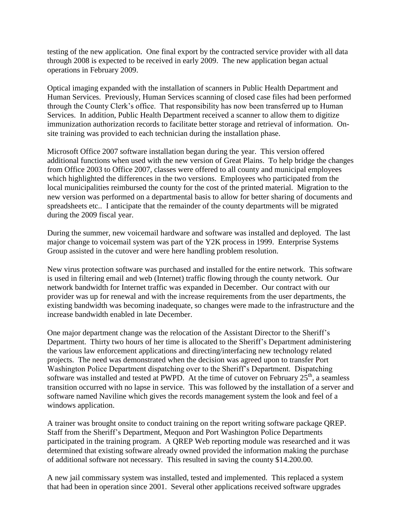testing of the new application. One final export by the contracted service provider with all data through 2008 is expected to be received in early 2009. The new application began actual operations in February 2009.

Optical imaging expanded with the installation of scanners in Public Health Department and Human Services. Previously, Human Services scanning of closed case files had been performed through the County Clerk's office. That responsibility has now been transferred up to Human Services. In addition, Public Health Department received a scanner to allow them to digitize immunization authorization records to facilitate better storage and retrieval of information. Onsite training was provided to each technician during the installation phase.

Microsoft Office 2007 software installation began during the year. This version offered additional functions when used with the new version of Great Plains. To help bridge the changes from Office 2003 to Office 2007, classes were offered to all county and municipal employees which highlighted the differences in the two versions. Employees who participated from the local municipalities reimbursed the county for the cost of the printed material. Migration to the new version was performed on a departmental basis to allow for better sharing of documents and spreadsheets etc.. I anticipate that the remainder of the county departments will be migrated during the 2009 fiscal year.

During the summer, new voicemail hardware and software was installed and deployed. The last major change to voicemail system was part of the Y2K process in 1999. Enterprise Systems Group assisted in the cutover and were here handling problem resolution.

New virus protection software was purchased and installed for the entire network. This software is used in filtering email and web (Internet) traffic flowing through the county network. Our network bandwidth for Internet traffic was expanded in December. Our contract with our provider was up for renewal and with the increase requirements from the user departments, the existing bandwidth was becoming inadequate, so changes were made to the infrastructure and the increase bandwidth enabled in late December.

One major department change was the relocation of the Assistant Director to the Sheriff's Department. Thirty two hours of her time is allocated to the Sheriff's Department administering the various law enforcement applications and directing/interfacing new technology related projects. The need was demonstrated when the decision was agreed upon to transfer Port Washington Police Department dispatching over to the Sheriff's Department. Dispatching software was installed and tested at PWPD. At the time of cutover on February  $25<sup>th</sup>$ , a seamless transition occurred with no lapse in service. This was followed by the installation of a server and software named Naviline which gives the records management system the look and feel of a windows application.

A trainer was brought onsite to conduct training on the report writing software package QREP. Staff from the Sheriff's Department, Mequon and Port Washington Police Departments participated in the training program. A QREP Web reporting module was researched and it was determined that existing software already owned provided the information making the purchase of additional software not necessary. This resulted in saving the county \$14.200.00.

A new jail commissary system was installed, tested and implemented. This replaced a system that had been in operation since 2001. Several other applications received software upgrades